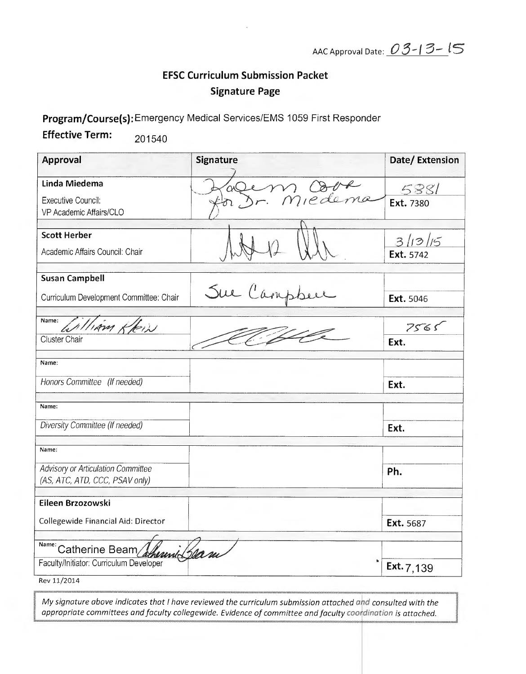AAC Approval Date: 03-13-15

## **EFSC Curriculum Submission Packet Signature Page**

Program/Course(s): Emergency Medical Services/EMS 1059 First Responder

**Effective Term:** 201540

| Approval                                  | <b>Signature</b> | Date/Extension       |
|-------------------------------------------|------------------|----------------------|
| Linda Miedema                             | m Obve           | 5881                 |
| Executive Council:                        |                  | Ext. 7380            |
| VP Academic Affairs/CLO                   |                  |                      |
| <b>Scott Herber</b>                       |                  |                      |
| Academic Affairs Council: Chair           |                  | 3/13/15<br>Ext. 5742 |
| <b>Susan Campbell</b>                     |                  |                      |
|                                           | Sue Campbe       |                      |
| Curriculum Development Committee: Chair   |                  | Ext. 5046            |
| Name:<br>كذاحكم                           |                  | 7565                 |
| Cluster Chair                             |                  | Ext.                 |
|                                           |                  |                      |
| Name:                                     |                  |                      |
| Honors Committee (If needed)              |                  | Ext.                 |
| Name:                                     |                  |                      |
| Diversity Committee (If needed)           |                  |                      |
|                                           |                  | Ext.                 |
| Name:                                     |                  |                      |
| <b>Advisory or Articulation Committee</b> |                  | Ph.                  |
| (AS, ATC, ATD, CCC, PSAV only)            |                  |                      |
| Eileen Brzozowski                         |                  |                      |
| Collegewide Financial Aid: Director       |                  | Ext. 5687            |
|                                           |                  |                      |
| Name: Catherine Beam<br>herend Slea re    |                  |                      |
| Faculty/Initiator: Curriculum Developer   |                  | Ext. $7,139$         |
| Rev 11/2014                               |                  |                      |

My signature above indicates that I have reviewed the curriculum submission attached and consulted with the appropriate committees and faculty collegewide. Evidence of committee and faculty coordination is attached.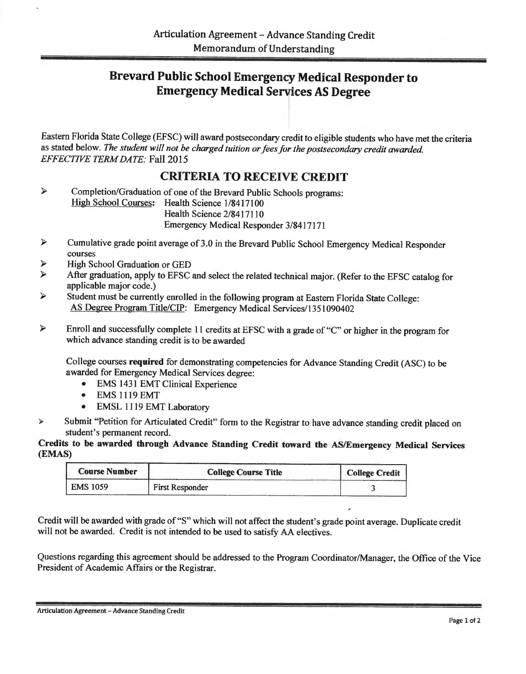## Brevard Public School Emergency, Medical Responder to **Emergency Medical Services AS Degree**

Eastern Florida State College (EFSC) will award postsecondary credit to eligible students who have met the criteria as stated below. *The student will not be charged tuition or fees for the postsecondary credit awarded. EFFECTIVE TERM DATE:* Fall 2015

## CRITERIA TO RECEIVE CREDIT

 $\blacktriangleright$ Completion/Graduation of one of the Brevard Public Schools programs: High School Courses: Health Science 1/8417100 Health Science 2/8417110 Emergency Medical Responder 3/8417171

- » Cumulative grade point average of3.0 in the Brevard Public School Emergency Medical Responder courses
- *»* High School Graduation or GED
- *»* After graduation, apply to EFSC and select the related technical major. (Refer to the EFSC catalog for applicable major code.)
- » Student must be currently enrolled in the following program at Eastern Florida State College: AS Degree Program Title/CIP: Emergency Medical Services/1351090402
- $\blacktriangleright$ Enroll and successfully complete 11 credits at EFSC with a grade of "C" or higher in the program for which advance standing credit is to be awarded

College courses required for demonstrating competencies for Advance Standing Credit (ASC) to be awarded for Emergency Medical Services degree:

- EMS 1431 EMT Clinical Experience
- EMS 1119 EMT
- EMSL 1 119 EMT Laboratory
- *»* Submit "Petition for Articulated Credit" form to the Registrar to have advance standing credit placed on student's permanent record.

Credits to be awarded through Advance Standing Credit toward the AS/Emergency Medical Services (EMAS)

| <b>Course Number</b> | <b>College Course Title</b> | <b>College Credit</b> |
|----------------------|-----------------------------|-----------------------|
| <b>EMS 1059</b>      | <b>First Responder</b>      |                       |

Credit will be awarded with grade of "S" which will not affect the student's grade point average. Duplicate credit will not be awarded. Credit is not intended to be used to satisfy AA electives.

Questions regarding this agreement should be addressed to the Program Coordinator/Manager, the Office of the Vice President of Academic Affairs or the Registrar.

Articulation Agreement - Advance Standing Credit